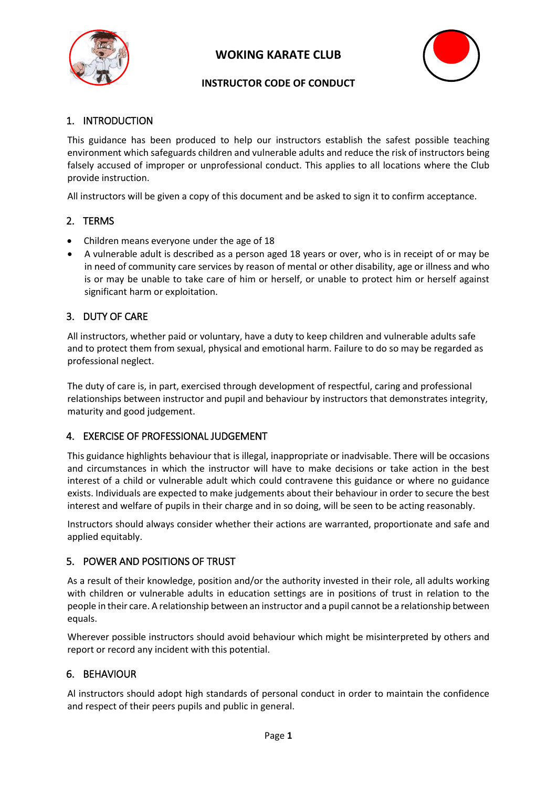



# **INSTRUCTOR CODE OF CONDUCT**

# 1. INTRODUCTION

This guidance has been produced to help our instructors establish the safest possible teaching environment which safeguards children and vulnerable adults and reduce the risk of instructors being falsely accused of improper or unprofessional conduct. This applies to all locations where the Club provide instruction.

All instructors will be given a copy of this document and be asked to sign it to confirm acceptance.

# 2. TERMS

- Children means everyone under the age of 18
- A vulnerable adult is described as a person aged 18 years or over, who is in receipt of or may be in need of community care services by reason of mental or other disability, age or illness and who is or may be unable to take care of him or herself, or unable to protect him or herself against significant harm or exploitation.

# 3. DUTY OF CARE

All instructors, whether paid or voluntary, have a duty to keep children and vulnerable adults safe and to protect them from sexual, physical and emotional harm. Failure to do so may be regarded as professional neglect.

The duty of care is, in part, exercised through development of respectful, caring and professional relationships between instructor and pupil and behaviour by instructors that demonstrates integrity, maturity and good judgement.

## 4. EXERCISE OF PROFESSIONAL JUDGEMENT

This guidance highlights behaviour that is illegal, inappropriate or inadvisable. There will be occasions and circumstances in which the instructor will have to make decisions or take action in the best interest of a child or vulnerable adult which could contravene this guidance or where no guidance exists. Individuals are expected to make judgements about their behaviour in order to secure the best interest and welfare of pupils in their charge and in so doing, will be seen to be acting reasonably.

Instructors should always consider whether their actions are warranted, proportionate and safe and applied equitably.

## 5. POWER AND POSITIONS OF TRUST

As a result of their knowledge, position and/or the authority invested in their role, all adults working with children or vulnerable adults in education settings are in positions of trust in relation to the people in their care. A relationship between an instructor and a pupil cannot be a relationship between equals.

Wherever possible instructors should avoid behaviour which might be misinterpreted by others and report or record any incident with this potential.

## 6. BEHAVIOUR

Al instructors should adopt high standards of personal conduct in order to maintain the confidence and respect of their peers pupils and public in general.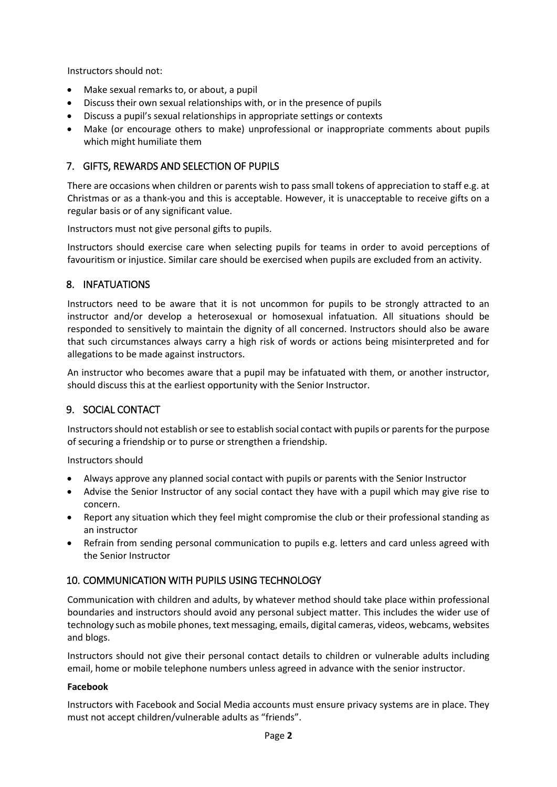Instructors should not:

- Make sexual remarks to, or about, a pupil
- Discuss their own sexual relationships with, or in the presence of pupils
- Discuss a pupil's sexual relationships in appropriate settings or contexts
- Make (or encourage others to make) unprofessional or inappropriate comments about pupils which might humiliate them

## 7. GIFTS, REWARDS AND SELECTION OF PUPILS

There are occasions when children or parents wish to pass small tokens of appreciation to staff e.g. at Christmas or as a thank-you and this is acceptable. However, it is unacceptable to receive gifts on a regular basis or of any significant value.

Instructors must not give personal gifts to pupils.

Instructors should exercise care when selecting pupils for teams in order to avoid perceptions of favouritism or injustice. Similar care should be exercised when pupils are excluded from an activity.

### 8. INFATUATIONS

Instructors need to be aware that it is not uncommon for pupils to be strongly attracted to an instructor and/or develop a heterosexual or homosexual infatuation. All situations should be responded to sensitively to maintain the dignity of all concerned. Instructors should also be aware that such circumstances always carry a high risk of words or actions being misinterpreted and for allegations to be made against instructors.

An instructor who becomes aware that a pupil may be infatuated with them, or another instructor, should discuss this at the earliest opportunity with the Senior Instructor.

#### 9. SOCIAL CONTACT

Instructors should not establish or see to establish social contact with pupils or parents for the purpose of securing a friendship or to purse or strengthen a friendship.

Instructors should

- Always approve any planned social contact with pupils or parents with the Senior Instructor
- Advise the Senior Instructor of any social contact they have with a pupil which may give rise to concern.
- Report any situation which they feel might compromise the club or their professional standing as an instructor
- Refrain from sending personal communication to pupils e.g. letters and card unless agreed with the Senior Instructor

## 10. COMMUNICATION WITH PUPILS USING TECHNOLOGY

Communication with children and adults, by whatever method should take place within professional boundaries and instructors should avoid any personal subject matter. This includes the wider use of technology such as mobile phones, text messaging, emails, digital cameras, videos, webcams, websites and blogs.

Instructors should not give their personal contact details to children or vulnerable adults including email, home or mobile telephone numbers unless agreed in advance with the senior instructor.

#### **Facebook**

Instructors with Facebook and Social Media accounts must ensure privacy systems are in place. They must not accept children/vulnerable adults as "friends".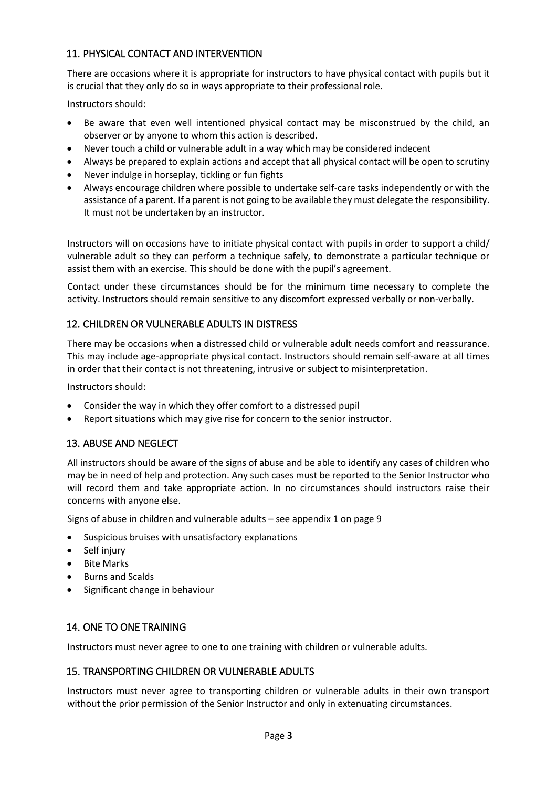# 11. PHYSICAL CONTACT AND INTERVENTION

There are occasions where it is appropriate for instructors to have physical contact with pupils but it is crucial that they only do so in ways appropriate to their professional role.

Instructors should:

- Be aware that even well intentioned physical contact may be misconstrued by the child, an observer or by anyone to whom this action is described.
- Never touch a child or vulnerable adult in a way which may be considered indecent
- Always be prepared to explain actions and accept that all physical contact will be open to scrutiny
- Never indulge in horseplay, tickling or fun fights
- Always encourage children where possible to undertake self-care tasks independently or with the assistance of a parent. If a parent is not going to be available they must delegate the responsibility. It must not be undertaken by an instructor.

Instructors will on occasions have to initiate physical contact with pupils in order to support a child/ vulnerable adult so they can perform a technique safely, to demonstrate a particular technique or assist them with an exercise. This should be done with the pupil's agreement.

Contact under these circumstances should be for the minimum time necessary to complete the activity. Instructors should remain sensitive to any discomfort expressed verbally or non-verbally.

### 12. CHILDREN OR VULNERABLE ADULTS IN DISTRESS

There may be occasions when a distressed child or vulnerable adult needs comfort and reassurance. This may include age-appropriate physical contact. Instructors should remain self-aware at all times in order that their contact is not threatening, intrusive or subject to misinterpretation.

Instructors should:

- Consider the way in which they offer comfort to a distressed pupil
- Report situations which may give rise for concern to the senior instructor.

#### 13. ABUSE AND NEGLECT

All instructors should be aware of the signs of abuse and be able to identify any cases of children who may be in need of help and protection. Any such cases must be reported to the Senior Instructor who will record them and take appropriate action. In no circumstances should instructors raise their concerns with anyone else.

Signs of abuse in children and vulnerable adults – see appendix 1 on page 9

- Suspicious bruises with unsatisfactory explanations
- Self injury
- Bite Marks
- Burns and Scalds
- Significant change in behaviour

#### 14. ONE TO ONE TRAINING

Instructors must never agree to one to one training with children or vulnerable adults.

#### 15. TRANSPORTING CHILDREN OR VULNERABLE ADULTS

Instructors must never agree to transporting children or vulnerable adults in their own transport without the prior permission of the Senior Instructor and only in extenuating circumstances.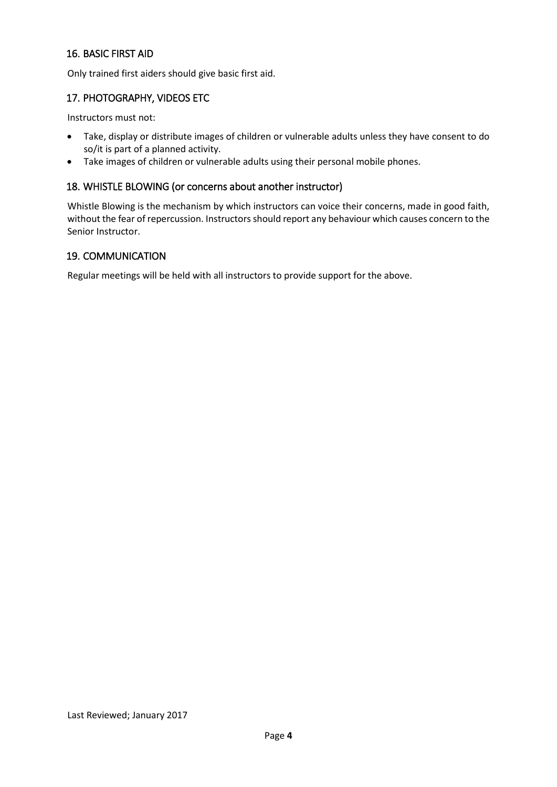## 16. BASIC FIRST AID

Only trained first aiders should give basic first aid.

### 17. PHOTOGRAPHY, VIDEOS ETC

Instructors must not:

- Take, display or distribute images of children or vulnerable adults unless they have consent to do so/it is part of a planned activity.
- Take images of children or vulnerable adults using their personal mobile phones.

#### 18. WHISTLE BLOWING (or concerns about another instructor)

Whistle Blowing is the mechanism by which instructors can voice their concerns, made in good faith, without the fear of repercussion. Instructors should report any behaviour which causes concern to the Senior Instructor.

### 19. COMMUNICATION

Regular meetings will be held with all instructors to provide support for the above.